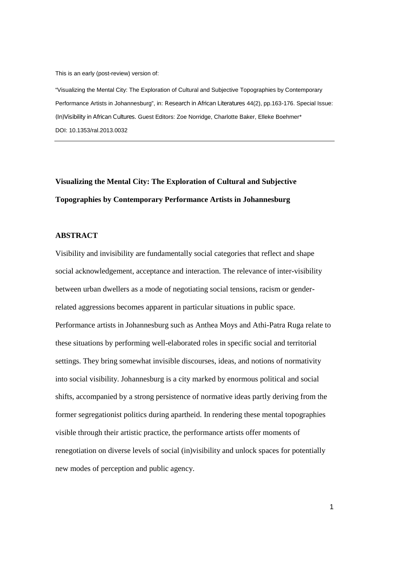This is an early (post-review) version of:

"Visualizing the Mental City: The Exploration of Cultural and Subjective Topographies by Contemporary Performance Artists in Johannesburg", in: *Research in African Literatures* 44(2), pp.163-176. Special Issue: *(In)Visibility in African Cultures.* Guest Editors: Zoe Norridge, Charlotte Baker, Elleke Boehmer\* DOI: 10.1353/ral.2013.0032

# **Visualizing the Mental City: The Exploration of Cultural and Subjective Topographies by Contemporary Performance Artists in Johannesburg**

# **ABSTRACT**

Visibility and invisibility are fundamentally social categories that reflect and shape social acknowledgement, acceptance and interaction. The relevance of inter-visibility between urban dwellers as a mode of negotiating social tensions, racism or genderrelated aggressions becomes apparent in particular situations in public space. Performance artists in Johannesburg such as Anthea Moys and Athi-Patra Ruga relate to these situations by performing well-elaborated roles in specific social and territorial settings. They bring somewhat invisible discourses, ideas, and notions of normativity into social visibility. Johannesburg is a city marked by enormous political and social shifts, accompanied by a strong persistence of normative ideas partly deriving from the former segregationist politics during apartheid. In rendering these mental topographies visible through their artistic practice, the performance artists offer moments of renegotiation on diverse levels of social (in)visibility and unlock spaces for potentially new modes of perception and public agency.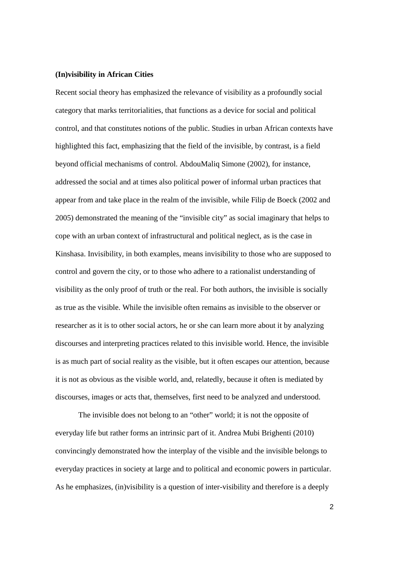#### **(In)visibility in African Cities**

Recent social theory has emphasized the relevance of visibility as a profoundly social category that marks territorialities, that functions as a device for social and political control, and that constitutes notions of the public. Studies in urban African contexts have highlighted this fact, emphasizing that the field of the invisible, by contrast, is a field beyond official mechanisms of control. AbdouMaliq Simone (2002), for instance, addressed the social and at times also political power of informal urban practices that appear from and take place in the realm of the invisible, while Filip de Boeck (2002 and 2005) demonstrated the meaning of the "invisible city" as social imaginary that helps to cope with an urban context of infrastructural and political neglect, as is the case in Kinshasa. Invisibility, in both examples, means invisibility to those who are supposed to control and govern the city, or to those who adhere to a rationalist understanding of visibility as the only proof of truth or the real. For both authors, the invisible is socially as true as the visible. While the invisible often remains as invisible to the observer or researcher as it is to other social actors, he or she can learn more about it by analyzing discourses and interpreting practices related to this invisible world. Hence, the invisible is as much part of social reality as the visible, but it often escapes our attention, because it is not as obvious as the visible world, and, relatedly, because it often is mediated by discourses, images or acts that, themselves, first need to be analyzed and understood.

The invisible does not belong to an "other" world; it is not the opposite of everyday life but rather forms an intrinsic part of it. Andrea Mubi Brighenti (2010) convincingly demonstrated how the interplay of the visible and the invisible belongs to everyday practices in society at large and to political and economic powers in particular. As he emphasizes, (in)visibility is a question of inter-visibility and therefore is a deeply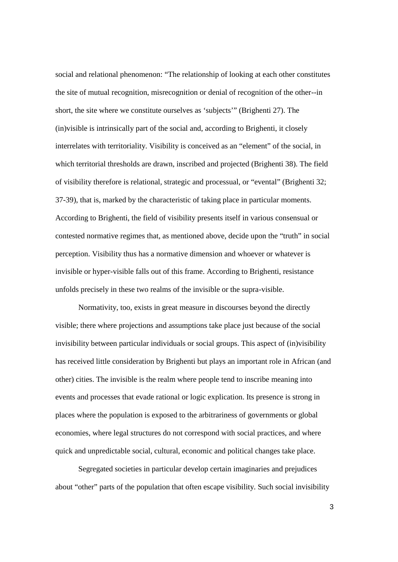social and relational phenomenon: "The relationship of looking at each other constitutes the site of mutual recognition, misrecognition or denial of recognition of the other--in short, the site where we constitute ourselves as 'subjects'" (Brighenti 27). The (in)visible is intrinsically part of the social and, according to Brighenti, it closely interrelates with territoriality. Visibility is conceived as an "element" of the social, in which territorial thresholds are drawn, inscribed and projected (Brighenti 38). The field of visibility therefore is relational, strategic and processual, or "evental" (Brighenti 32; 37-39), that is, marked by the characteristic of taking place in particular moments. According to Brighenti, the field of visibility presents itself in various consensual or contested normative regimes that, as mentioned above, decide upon the "truth" in social perception. Visibility thus has a normative dimension and whoever or whatever is invisible or hyper-visible falls out of this frame. According to Brighenti, resistance unfolds precisely in these two realms of the invisible or the supra-visible.

Normativity, too, exists in great measure in discourses beyond the directly visible; there where projections and assumptions take place just because of the social invisibility between particular individuals or social groups. This aspect of (in)visibility has received little consideration by Brighenti but plays an important role in African (and other) cities. The invisible is the realm where people tend to inscribe meaning into events and processes that evade rational or logic explication. Its presence is strong in places where the population is exposed to the arbitrariness of governments or global economies, where legal structures do not correspond with social practices, and where quick and unpredictable social, cultural, economic and political changes take place.

Segregated societies in particular develop certain imaginaries and prejudices about "other" parts of the population that often escape visibility. Such social invisibility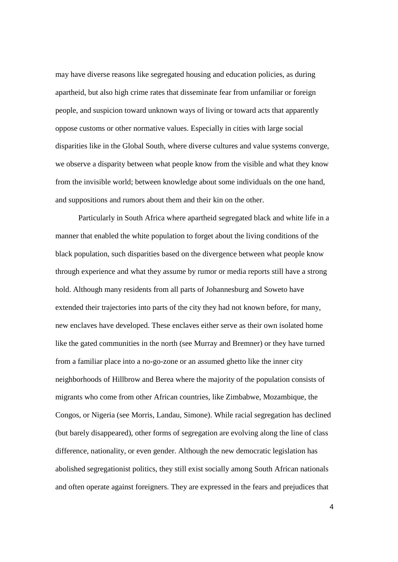may have diverse reasons like segregated housing and education policies, as during apartheid, but also high crime rates that disseminate fear from unfamiliar or foreign people, and suspicion toward unknown ways of living or toward acts that apparently oppose customs or other normative values. Especially in cities with large social disparities like in the Global South, where diverse cultures and value systems converge, we observe a disparity between what people know from the visible and what they know from the invisible world; between knowledge about some individuals on the one hand, and suppositions and rumors about them and their kin on the other.

Particularly in South Africa where apartheid segregated black and white life in a manner that enabled the white population to forget about the living conditions of the black population, such disparities based on the divergence between what people know through experience and what they assume by rumor or media reports still have a strong hold. Although many residents from all parts of Johannesburg and Soweto have extended their trajectories into parts of the city they had not known before, for many, new enclaves have developed. These enclaves either serve as their own isolated home like the gated communities in the north (see Murray and Bremner) or they have turned from a familiar place into a no-go-zone or an assumed ghetto like the inner city neighborhoods of Hillbrow and Berea where the majority of the population consists of migrants who come from other African countries, like Zimbabwe, Mozambique, the Congos, or Nigeria (see Morris, Landau, Simone). While racial segregation has declined (but barely disappeared), other forms of segregation are evolving along the line of class difference, nationality, or even gender. Although the new democratic legislation has abolished segregationist politics, they still exist socially among South African nationals and often operate against foreigners. They are expressed in the fears and prejudices that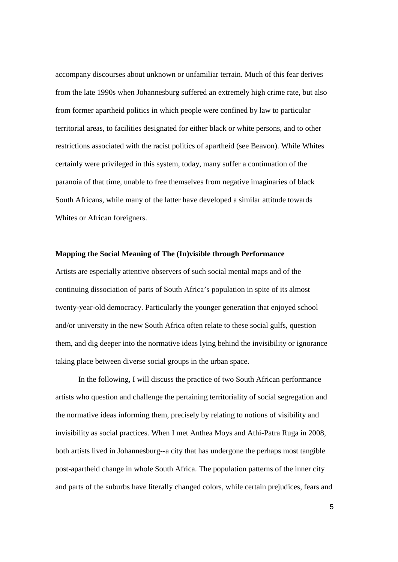accompany discourses about unknown or unfamiliar terrain. Much of this fear derives from the late 1990s when Johannesburg suffered an extremely high crime rate, but also from former apartheid politics in which people were confined by law to particular territorial areas, to facilities designated for either black or white persons, and to other restrictions associated with the racist politics of apartheid (see Beavon). While Whites certainly were privileged in this system, today, many suffer a continuation of the paranoia of that time, unable to free themselves from negative imaginaries of black South Africans, while many of the latter have developed a similar attitude towards Whites or African foreigners.

### **Mapping the Social Meaning of The (In)visible through Performance**

Artists are especially attentive observers of such social mental maps and of the continuing dissociation of parts of South Africa's population in spite of its almost twenty-year-old democracy. Particularly the younger generation that enjoyed school and/or university in the new South Africa often relate to these social gulfs, question them, and dig deeper into the normative ideas lying behind the invisibility or ignorance taking place between diverse social groups in the urban space.

In the following, I will discuss the practice of two South African performance artists who question and challenge the pertaining territoriality of social segregation and the normative ideas informing them, precisely by relating to notions of visibility and invisibility as social practices. When I met Anthea Moys and Athi-Patra Ruga in 2008, both artists lived in Johannesburg--a city that has undergone the perhaps most tangible post-apartheid change in whole South Africa. The population patterns of the inner city and parts of the suburbs have literally changed colors, while certain prejudices, fears and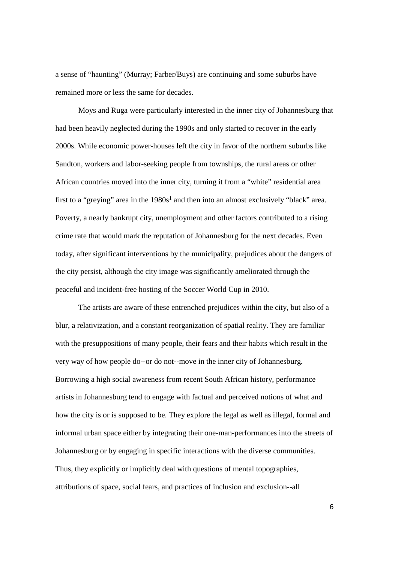a sense of "haunting" (Murray; Farber/Buys) are continuing and some suburbs have remained more or less the same for decades.

Moys and Ruga were particularly interested in the inner city of Johannesburg that had been heavily neglected during the 1990s and only started to recover in the early 2000s. While economic power-houses left the city in favor of the northern suburbs like Sandton, workers and labor-seeking people from townships, the rural areas or other African countries moved into the inner city, turning it from a "white" residential area first to a "greying" area in the  $1980s<sup>1</sup>$  and then into an almost exclusively "black" area. Poverty, a nearly bankrupt city, unemployment and other factors contributed to a rising crime rate that would mark the reputation of Johannesburg for the next decades. Even today, after significant interventions by the municipality, prejudices about the dangers of the city persist, although the city image was significantly ameliorated through the peaceful and incident-free hosting of the Soccer World Cup in 2010.

The artists are aware of these entrenched prejudices within the city, but also of a blur, a relativization, and a constant reorganization of spatial reality. They are familiar with the presuppositions of many people, their fears and their habits which result in the very way of how people do--or do not--move in the inner city of Johannesburg. Borrowing a high social awareness from recent South African history, performance artists in Johannesburg tend to engage with factual and perceived notions of what and how the city is or is supposed to be. They explore the legal as well as illegal, formal and informal urban space either by integrating their one-man-performances into the streets of Johannesburg or by engaging in specific interactions with the diverse communities. Thus, they explicitly or implicitly deal with questions of mental topographies, attributions of space, social fears, and practices of inclusion and exclusion--all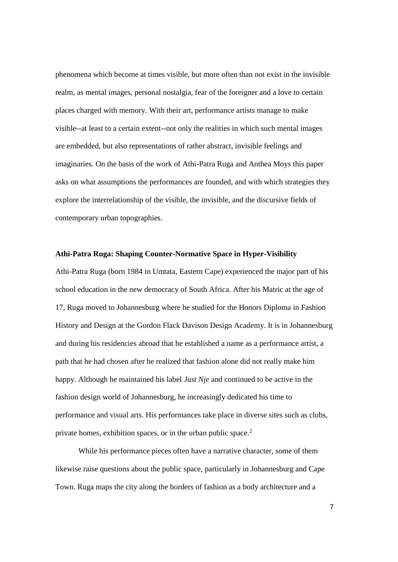phenomena which become at times visible, but more often than not exist in the invisible realm, as mental images, personal nostalgia, fear of the foreigner and a love to certain places charged with memory. With their art, performance artists manage to make visible--at least to a certain extent--not only the realities in which such mental images are embedded, but also representations of rather abstract, invisible feelings and imaginaries. On the basis of the work of Athi-Patra Ruga and Anthea Moys this paper asks on what assumptions the performances are founded, and with which strategies they explore the interrelationship of the visible, the invisible, and the discursive fields of contemporary urban topographies.

#### **Athi-Patra Ruga: Shaping Counter-Normative Space in Hyper-Visibility**

Athi-Patra Ruga (born 1984 in Umtata, Eastern Cape) experienced the major part of his school education in the new democracy of South Africa. After his Matric at the age of 17, Ruga moved to Johannesburg where he studied for the Honors Diploma in Fashion History and Design at the Gordon Flack Davison Design Academy. It is in Johannesburg and during his residencies abroad that he established a name as a performance artist, a path that he had chosen after he realized that fashion alone did not really make him happy. Although he maintained his label *Just Nje* and continued to be active in the fashion design world of Johannesburg, he increasingly dedicated his time to performance and visual arts. His performances take place in diverse sites such as clubs, private homes, exhibition spaces, or in the urban public space.<sup>2</sup>

While his performance pieces often have a narrative character, some of them likewise raise questions about the public space, particularly in Johannesburg and Cape Town. Ruga maps the city along the borders of fashion as a body architecture and a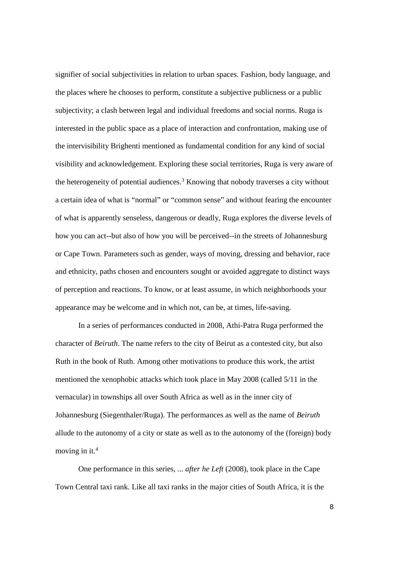signifier of social subjectivities in relation to urban spaces. Fashion, body language, and the places where he chooses to perform, constitute a subjective publicness or a public subjectivity; a clash between legal and individual freedoms and social norms. Ruga is interested in the public space as a place of interaction and confrontation, making use of the intervisibility Brighenti mentioned as fundamental condition for any kind of social visibility and acknowledgement. Exploring these social territories, Ruga is very aware of the heterogeneity of potential audiences.<sup>3</sup> Knowing that nobody traverses a city without a certain idea of what is "normal" or "common sense" and without fearing the encounter of what is apparently senseless, dangerous or deadly, Ruga explores the diverse levels of how you can act--but also of how you will be perceived--in the streets of Johannesburg or Cape Town. Parameters such as gender, ways of moving, dressing and behavior, race and ethnicity, paths chosen and encounters sought or avoided aggregate to distinct ways of perception and reactions. To know, or at least assume, in which neighborhoods your appearance may be welcome and in which not, can be, at times, life-saving.

In a series of performances conducted in 2008, Athi-Patra Ruga performed the character of *Beiruth*. The name refers to the city of Beirut as a contested city, but also Ruth in the book of Ruth. Among other motivations to produce this work, the artist mentioned the xenophobic attacks which took place in May 2008 (called 5/11 in the vernacular) in townships all over South Africa as well as in the inner city of Johannesburg (Siegenthaler/Ruga). The performances as well as the name of *Beiruth* allude to the autonomy of a city or state as well as to the autonomy of the (foreign) body moving in it.<sup>4</sup>

One performance in this series, *... after he Left* (2008), took place in the Cape Town Central taxi rank. Like all taxi ranks in the major cities of South Africa, it is the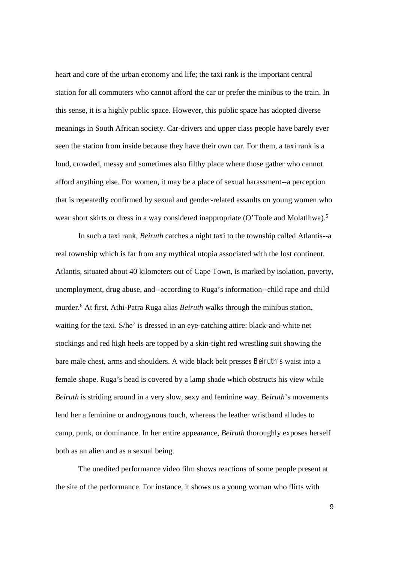heart and core of the urban economy and life; the taxi rank is the important central station for all commuters who cannot afford the car or prefer the minibus to the train. In this sense, it is a highly public space. However, this public space has adopted diverse meanings in South African society. Car-drivers and upper class people have barely ever seen the station from inside because they have their own car. For them, a taxi rank is a loud, crowded, messy and sometimes also filthy place where those gather who cannot afford anything else. For women, it may be a place of sexual harassment--a perception that is repeatedly confirmed by sexual and gender-related assaults on young women who wear short skirts or dress in a way considered inappropriate (O'Toole and Molatlhwa).<sup>5</sup>

In such a taxi rank, *Beiruth* catches a night taxi to the township called Atlantis--a real township which is far from any mythical utopia associated with the lost continent. Atlantis, situated about 40 kilometers out of Cape Town, is marked by isolation, poverty, unemployment, drug abuse, and--according to Ruga's information--child rape and child murder.<sup>6</sup> At first, Athi-Patra Ruga alias *Beiruth* walks through the minibus station, waiting for the taxi. S/he<sup>7</sup> is dressed in an eye-catching attire: black-and-white net stockings and red high heels are topped by a skin-tight red wrestling suit showing the bare male chest, arms and shoulders. A wide black belt presses *Beiruth's* waist into a female shape. Ruga's head is covered by a lamp shade which obstructs his view while *Beiruth* is striding around in a very slow, sexy and feminine way. *Beiruth*'s movements lend her a feminine or androgynous touch, whereas the leather wristband alludes to camp, punk, or dominance. In her entire appearance, *Beiruth* thoroughly exposes herself both as an alien and as a sexual being.

The unedited performance video film shows reactions of some people present at the site of the performance. For instance, it shows us a young woman who flirts with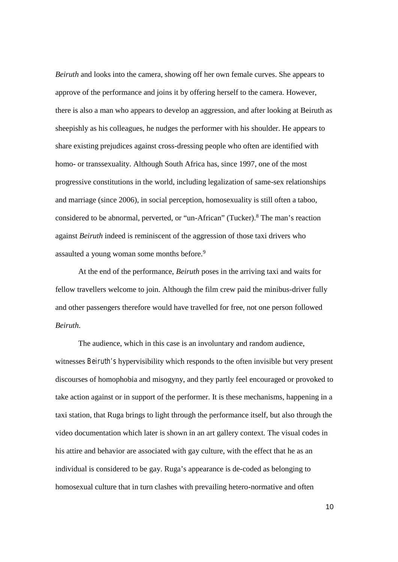*Beiruth* and looks into the camera, showing off her own female curves. She appears to approve of the performance and joins it by offering herself to the camera. However, there is also a man who appears to develop an aggression, and after looking at Beiruth as sheepishly as his colleagues, he nudges the performer with his shoulder. He appears to share existing prejudices against cross-dressing people who often are identified with homo- or transsexuality. Although South Africa has, since 1997, one of the most progressive constitutions in the world, including legalization of same-sex relationships and marriage (since 2006), in social perception, homosexuality is still often a taboo, considered to be abnormal, perverted, or "un-African" (Tucker).<sup>8</sup> The man's reaction against *Beiruth* indeed is reminiscent of the aggression of those taxi drivers who assaulted a young woman some months before.<sup>9</sup>

At the end of the performance, *Beiruth* poses in the arriving taxi and waits for fellow travellers welcome to join. Although the film crew paid the minibus-driver fully and other passengers therefore would have travelled for free, not one person followed *Beiruth*.<br>The audience, which in this case is an involuntary and random audience,

witnesses *Beiruth's* hypervisibility which responds to the often invisible but very present discourses of homophobia and misogyny, and they partly feel encouraged or provoked to take action against or in support of the performer. It is these mechanisms, happening in a taxi station, that Ruga brings to light through the performance itself, but also through the video documentation which later is shown in an art gallery context. The visual codes in his attire and behavior are associated with gay culture, with the effect that he as an individual is considered to be gay. Ruga's appearance is de-coded as belonging to homosexual culture that in turn clashes with prevailing hetero-normative and often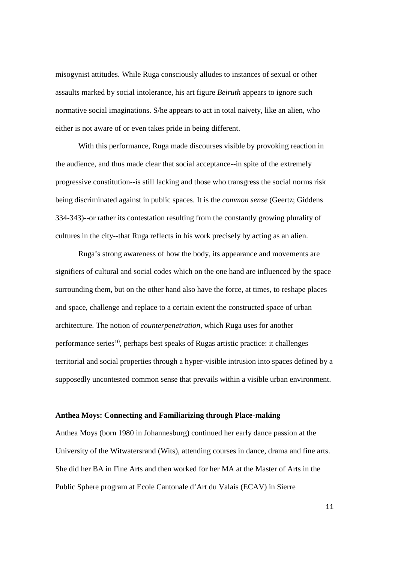misogynist attitudes. While Ruga consciously alludes to instances of sexual or other assaults marked by social intolerance, his art figure *Beiruth* appears to ignore such normative social imaginations. S/he appears to act in total naivety, like an alien, who either is not aware of or even takes pride in being different.

With this performance, Ruga made discourses visible by provoking reaction in the audience, and thus made clear that social acceptance--in spite of the extremely progressive constitution--is still lacking and those who transgress the social norms risk being discriminated against in public spaces. It is the *common sense* (Geertz; Giddens 334-343)--or rather its contestation resulting from the constantly growing plurality of cultures in the city--that Ruga reflects in his work precisely by acting as an alien.

Ruga's strong awareness of how the body, its appearance and movements are signifiers of cultural and social codes which on the one hand are influenced by the space surrounding them, but on the other hand also have the force, at times, to reshape places and space, challenge and replace to a certain extent the constructed space of urban architecture. The notion of *counterpenetration*, which Ruga uses for another performance series<sup>10</sup>, perhaps best speaks of Rugas artistic practice: it challenges territorial and social properties through a hyper-visible intrusion into spaces defined by a supposedly uncontested common sense that prevails within a visible urban environment.

# **Anthea Moys: Connecting and Familiarizing through Place-making**

Anthea Moys (born 1980 in Johannesburg) continued her early dance passion at the University of the Witwatersrand (Wits), attending courses in dance, drama and fine arts. She did her BA in Fine Arts and then worked for her MA at the Master of Arts in the Public Sphere program at Ecole Cantonale d'Art du Valais (ECAV) in Sierre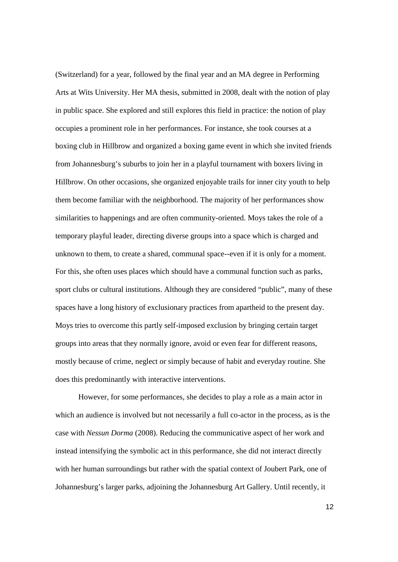(Switzerland) for a year, followed by the final year and an MA degree in Performing Arts at Wits University. Her MA thesis, submitted in 2008, dealt with the notion of play in public space. She explored and still explores this field in practice: the notion of play occupies a prominent role in her performances. For instance, she took courses at a boxing club in Hillbrow and organized a boxing game event in which she invited friends from Johannesburg's suburbs to join her in a playful tournament with boxers living in Hillbrow. On other occasions, she organized enjoyable trails for inner city youth to help them become familiar with the neighborhood. The majority of her performances show similarities to happenings and are often community-oriented. Moys takes the role of a temporary playful leader, directing diverse groups into a space which is charged and unknown to them, to create a shared, communal space--even if it is only for a moment. For this, she often uses places which should have a communal function such as parks, sport clubs or cultural institutions. Although they are considered "public", many of these spaces have a long history of exclusionary practices from apartheid to the present day. Moys tries to overcome this partly self-imposed exclusion by bringing certain target groups into areas that they normally ignore, avoid or even fear for different reasons, mostly because of crime, neglect or simply because of habit and everyday routine. She does this predominantly with interactive interventions.

However, for some performances, she decides to play a role as a main actor in which an audience is involved but not necessarily a full co-actor in the process, as is the case with *Nessun Dorma* (2008). Reducing the communicative aspect of her work and instead intensifying the symbolic act in this performance, she did not interact directly with her human surroundings but rather with the spatial context of Joubert Park, one of Johannesburg's larger parks, adjoining the Johannesburg Art Gallery. Until recently, it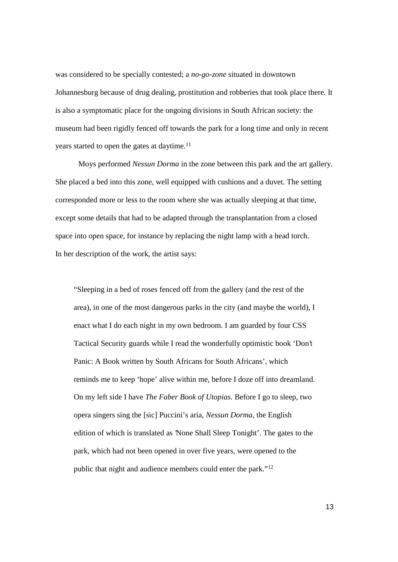was considered to be specially contested; a *no-go-zone* situated in downtown Johannesburg because of drug dealing, prostitution and robberies that took place there. It is also a symptomatic place for the ongoing divisions in South African society: the museum had been rigidly fenced off towards the park for a long time and only in recent years started to open the gates at daytime.<sup>11</sup>

Moys performed *Nessun Dorma* in the zone between this park and the art gallery. She placed a bed into this zone, well equipped with cushions and a duvet. The setting corresponded more or less to the room where she was actually sleeping at that time, except some details that had to be adapted through the transplantation from a closed space into open space, for instance by replacing the night lamp with a head torch. In her description of the work, the artist says:

"Sleeping in a bed of roses fenced off from the gallery (and the rest of the area), in one of the most dangerous parks in the city (and maybe the world), I enact what I do each night in my own bedroom. I am guarded by four CSS Tactical Security guards while I read the wonderfully optimistic book 'Don't Panic: A Book written by South Africans for South Africans', which reminds me to keep 'hope' alive within me, before I doze off into dreamland. On my left side I have *The Faber Book of Utopias.* Before I go to sleep, two opera singers sing the [sic] Puccini's aria, *Nessun Dorma*, the English edition of which is translated as 'None Shall Sleep Tonight'. The gates to the park, which had not been opened in over five years, were opened to the public that night and audience members could enter the park."12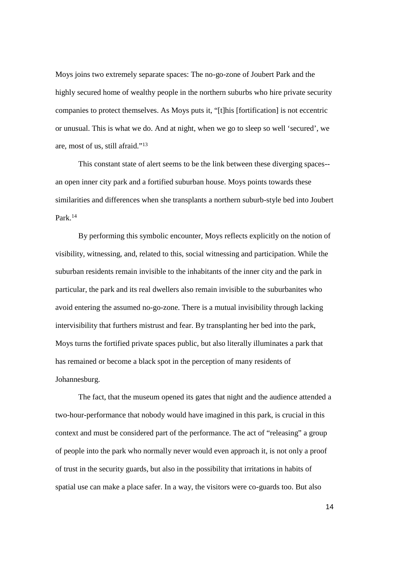Moys joins two extremely separate spaces: The no-go-zone of Joubert Park and the highly secured home of wealthy people in the northern suburbs who hire private security companies to protect themselves. As Moys puts it, "[t]his [fortification] is not eccentric or unusual. This is what we do. And at night, when we go to sleep so well 'secured', we are, most of us, still afraid."<sup>13</sup>

This constant state of alert seems to be the link between these diverging spaces- an open inner city park and a fortified suburban house. Moys points towards these similarities and differences when she transplants a northern suburb-style bed into Joubert Park.<sup>14</sup>

By performing this symbolic encounter, Moys reflects explicitly on the notion of visibility, witnessing, and, related to this, social witnessing and participation. While the suburban residents remain invisible to the inhabitants of the inner city and the park in particular, the park and its real dwellers also remain invisible to the suburbanites who avoid entering the assumed no-go-zone. There is a mutual invisibility through lacking intervisibility that furthers mistrust and fear. By transplanting her bed into the park, Moys turns the fortified private spaces public, but also literally illuminates a park that has remained or become a black spot in the perception of many residents of Johannesburg.

The fact, that the museum opened its gates that night and the audience attended a two-hour-performance that nobody would have imagined in this park, is crucial in this context and must be considered part of the performance. The act of "releasing" a group of people into the park who normally never would even approach it, is not only a proof of trust in the security guards, but also in the possibility that irritations in habits of spatial use can make a place safer. In a way, the visitors were co-guards too. But also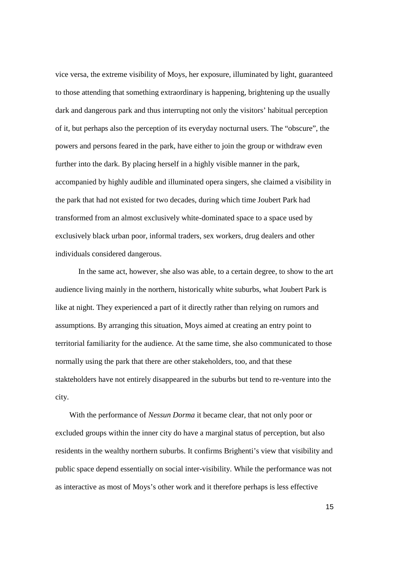vice versa, the extreme visibility of Moys, her exposure, illuminated by light, guaranteed to those attending that something extraordinary is happening, brightening up the usually dark and dangerous park and thus interrupting not only the visitors' habitual perception of it, but perhaps also the perception of its everyday nocturnal users. The "obscure", the powers and persons feared in the park, have either to join the group or withdraw even further into the dark. By placing herself in a highly visible manner in the park, accompanied by highly audible and illuminated opera singers, she claimed a visibility in the park that had not existed for two decades, during which time Joubert Park had transformed from an almost exclusively white-dominated space to a space used by exclusively black urban poor, informal traders, sex workers, drug dealers and other individuals considered dangerous.

In the same act, however, she also was able, to a certain degree, to show to the art audience living mainly in the northern, historically white suburbs, what Joubert Park is like at night. They experienced a part of it directly rather than relying on rumors and assumptions. By arranging this situation, Moys aimed at creating an entry point to territorial familiarity for the audience. At the same time, she also communicated to those normally using the park that there are other stakeholders, too, and that these stakteholders have not entirely disappeared in the suburbs but tend to re-venture into the city.

With the performance of *Nessun Dorma* it became clear, that not only poor or excluded groups within the inner city do have a marginal status of perception, but also residents in the wealthy northern suburbs. It confirms Brighenti's view that visibility and public space depend essentially on social inter-visibility. While the performance was not as interactive as most of Moys's other work and it therefore perhaps is less effective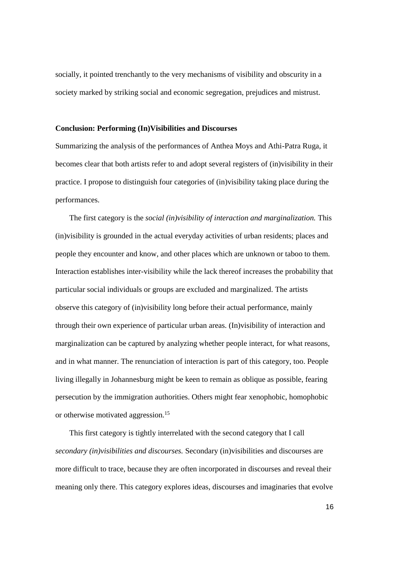socially, it pointed trenchantly to the very mechanisms of visibility and obscurity in a society marked by striking social and economic segregation, prejudices and mistrust.

# **Conclusion: Performing (In)Visibilities and Discourses**

Summarizing the analysis of the performances of Anthea Moys and Athi-Patra Ruga, it becomes clear that both artists refer to and adopt several registers of (in)visibility in their practice. I propose to distinguish four categories of (in)visibility taking place during the performances.

The first category is the *social (in)visibility of interaction and marginalization.* This (in)visibility is grounded in the actual everyday activities of urban residents; places and people they encounter and know, and other places which are unknown or taboo to them. Interaction establishes inter-visibility while the lack thereof increases the probability that particular social individuals or groups are excluded and marginalized. The artists observe this category of (in)visibility long before their actual performance, mainly through their own experience of particular urban areas. (In)visibility of interaction and marginalization can be captured by analyzing whether people interact, for what reasons, and in what manner. The renunciation of interaction is part of this category, too. People living illegally in Johannesburg might be keen to remain as oblique as possible, fearing persecution by the immigration authorities. Others might fear xenophobic, homophobic or otherwise motivated aggression.<sup>15</sup>

This first category is tightly interrelated with the second category that I call *secondary (in)visibilities and discourses.* Secondary (in)visibilities and discourses are more difficult to trace, because they are often incorporated in discourses and reveal their meaning only there. This category explores ideas, discourses and imaginaries that evolve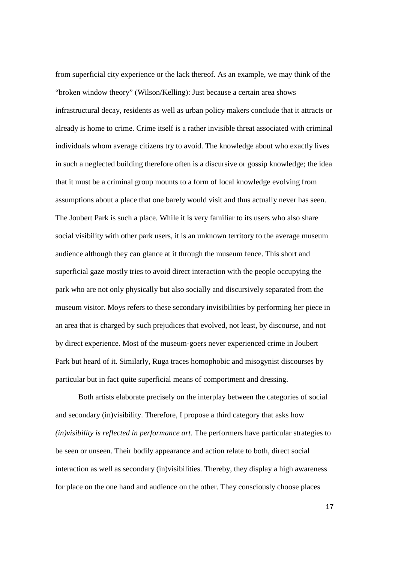from superficial city experience or the lack thereof. As an example, we may think of the "broken window theory" (Wilson/Kelling): Just because a certain area shows infrastructural decay, residents as well as urban policy makers conclude that it attracts or already is home to crime. Crime itself is a rather invisible threat associated with criminal individuals whom average citizens try to avoid. The knowledge about who exactly lives in such a neglected building therefore often is a discursive or gossip knowledge; the idea that it must be a criminal group mounts to a form of local knowledge evolving from assumptions about a place that one barely would visit and thus actually never has seen. The Joubert Park is such a place. While it is very familiar to its users who also share social visibility with other park users, it is an unknown territory to the average museum audience although they can glance at it through the museum fence. This short and superficial gaze mostly tries to avoid direct interaction with the people occupying the park who are not only physically but also socially and discursively separated from the museum visitor. Moys refers to these secondary invisibilities by performing her piece in an area that is charged by such prejudices that evolved, not least, by discourse, and not by direct experience. Most of the museum-goers never experienced crime in Joubert Park but heard of it. Similarly, Ruga traces homophobic and misogynist discourses by particular but in fact quite superficial means of comportment and dressing.

Both artists elaborate precisely on the interplay between the categories of social and secondary (in)visibility. Therefore, I propose a third category that asks how *(in)visibility is reflected in performance art.* The performers have particular strategies to be seen or unseen. Their bodily appearance and action relate to both, direct social interaction as well as secondary (in)visibilities. Thereby, they display a high awareness for place on the one hand and audience on the other. They consciously choose places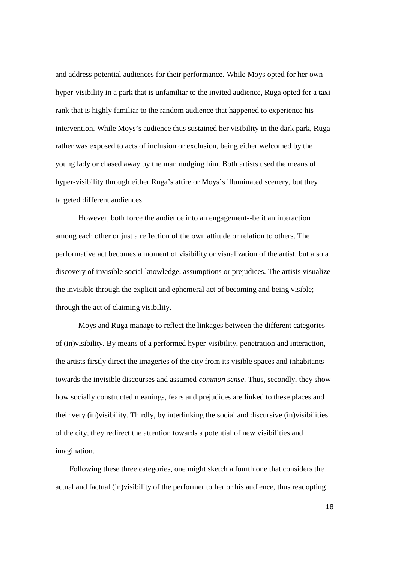and address potential audiences for their performance. While Moys opted for her own hyper-visibility in a park that is unfamiliar to the invited audience, Ruga opted for a taxi rank that is highly familiar to the random audience that happened to experience his intervention. While Moys's audience thus sustained her visibility in the dark park, Ruga rather was exposed to acts of inclusion or exclusion, being either welcomed by the young lady or chased away by the man nudging him. Both artists used the means of hyper-visibility through either Ruga's attire or Moys's illuminated scenery, but they targeted different audiences.

However, both force the audience into an engagement--be it an interaction among each other or just a reflection of the own attitude or relation to others. The performative act becomes a moment of visibility or visualization of the artist, but also a discovery of invisible social knowledge, assumptions or prejudices. The artists visualize the invisible through the explicit and ephemeral act of becoming and being visible; through the act of claiming visibility.

Moys and Ruga manage to reflect the linkages between the different categories of (in)visibility. By means of a performed hyper-visibility, penetration and interaction, the artists firstly direct the imageries of the city from its visible spaces and inhabitants towards the invisible discourses and assumed *common sense*. Thus, secondly, they show how socially constructed meanings, fears and prejudices are linked to these places and their very (in)visibility. Thirdly, by interlinking the social and discursive (in)visibilities of the city, they redirect the attention towards a potential of new visibilities and imagination.

Following these three categories, one might sketch a fourth one that considers the actual and factual (in)visibility of the performer to her or his audience, thus readopting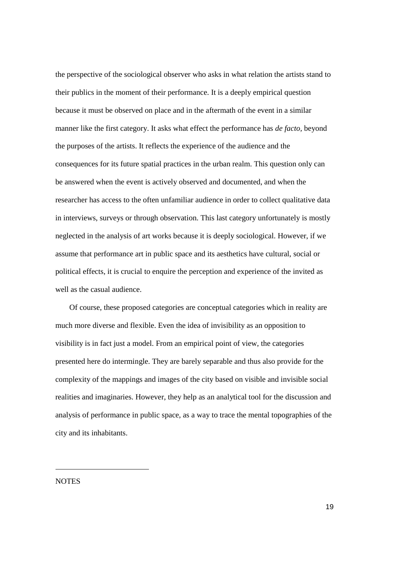the perspective of the sociological observer who asks in what relation the artists stand to their publics in the moment of their performance. It is a deeply empirical question because it must be observed on place and in the aftermath of the event in a similar manner like the first category. It asks what effect the performance has *de facto,* beyond the purposes of the artists. It reflects the experience of the audience and the consequences for its future spatial practices in the urban realm. This question only can be answered when the event is actively observed and documented, and when the researcher has access to the often unfamiliar audience in order to collect qualitative data in interviews, surveys or through observation. This last category unfortunately is mostly neglected in the analysis of art works because it is deeply sociological. However, if we assume that performance art in public space and its aesthetics have cultural, social or political effects, it is crucial to enquire the perception and experience of the invited as well as the casual audience.

Of course, these proposed categories are conceptual categories which in reality are much more diverse and flexible. Even the idea of invisibility as an opposition to visibility is in fact just a model. From an empirical point of view, the categories presented here do intermingle. They are barely separable and thus also provide for the complexity of the mappings and images of the city based on visible and invisible social realities and imaginaries. However, they help as an analytical tool for the discussion and analysis of performance in public space, as a way to trace the mental topographies of the city and its inhabitants.

**NOTES**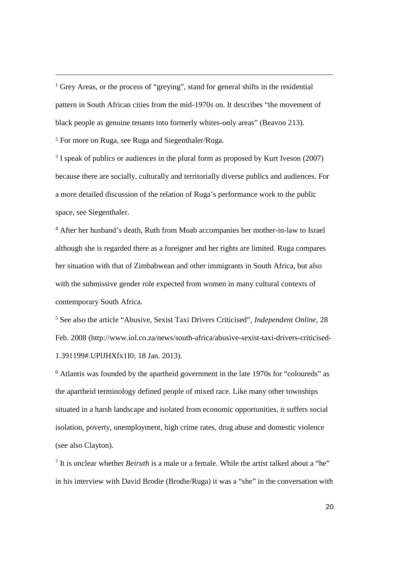$<sup>1</sup>$  Grey Areas, or the process of "greying", stand for general shifts in the residential</sup> pattern in South African cities from the mid-1970s on. It describes "the movement of black people as genuine tenants into formerly whites-only areas" (Beavon 213).

<sup>2</sup> For more on Ruga, see Ruga and Siegenthaler/Ruga.

<sup>3</sup> I speak of publics or audiences in the plural form as proposed by Kurt Iveson (2007) because there are socially, culturally and territorially diverse publics and audiences. For a more detailed discussion of the relation of Ruga's performance work to the public space, see Siegenthaler.

<sup>4</sup> After her husband's death, Ruth from Moab accompanies her mother-in-law to Israel although she is regarded there as a foreigner and her rights are limited. Ruga compares her situation with that of Zimbabwean and other immigrants in South Africa, but also with the submissive gender role expected from women in many cultural contexts of contemporary South Africa.

<sup>5</sup> See also the article "Abusive, Sexist Taxi Drivers Criticised", *Independent Online,* 28 Feb. 2008 (http://www.iol.co.za/news/south-africa/abusive-sexist-taxi-drivers-criticised- 1.391199#.UPlJHXfx1I0; 18 Jan. 2013).

<sup>6</sup> Atlantis was founded by the apartheid government in the late 1970s for "coloureds" as the apartheid terminology defined people of mixed race. Like many other townships situated in a harsh landscape and isolated from economic opportunities, it suffers social isolation, poverty, unemployment, high crime rates, drug abuse and domestic violence (see also Clayton).

7 It is unclear whether *Beiruth* is a male or a female. While the artist talked about a "he" in his interview with David Brodie (Brodie/Ruga) it was a "she" in the conversation with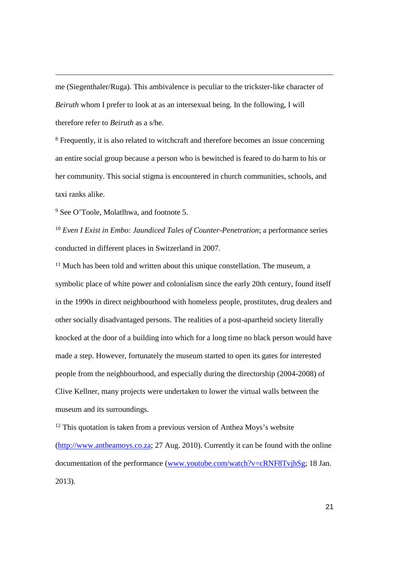me (Siegenthaler/Ruga). This ambivalence is peculiar to the trickster-like character of *Beiruth* whom I prefer to look at as an intersexual being. In the following, I will therefore refer to *Beiruth* as a s/he.

<sup>8</sup> Frequently, it is also related to witchcraft and therefore becomes an issue concerning an entire social group because a person who is bewitched is feared to do harm to his or her community. This social stigma is encountered in church communities, schools, and taxi ranks alike.

<sup>9</sup> See O'Toole, Molatlhwa, and footnote 5.

<sup>10</sup> *Even I Exist in Embo: Jaundiced Tales of Counter-Penetration*; a performance series conducted in different places in Switzerland in 2007.

 $11$  Much has been told and written about this unique constellation. The museum, a symbolic place of white power and colonialism since the early 20th century, found itself in the 1990s in direct neighbourhood with homeless people, prostitutes, drug dealers and other socially disadvantaged persons. The realities of a post-apartheid society literally knocked at the door of a building into which for a long time no black person would have made a step. However, fortunately the museum started to open its gates for interested people from the neighbourhood, and especially during the directorship (2004-2008) of Clive Kellner, many projects were undertaken to lower the virtual walls between the museum and its surroundings.

 $12$  This quotation is taken from a previous version of Anthea Moys's website (http://www.antheamoys.co.za; 27 Aug. 2010). Currently it can be found with the online documentation of the performance (www.youtube.com/watch?v=cRNF8TvjhSg; 18 Jan. 2013).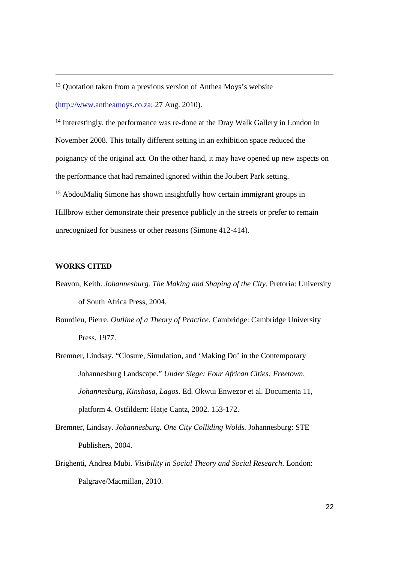<sup>13</sup> Quotation taken from a previous version of Anthea Moys's website (http://www.antheamoys.co.za; 27 Aug. 2010).

<sup>14</sup> Interestingly, the performance was re-done at the Dray Walk Gallery in London in November 2008. This totally different setting in an exhibition space reduced the poignancy of the original act. On the other hand, it may have opened up new aspects on the performance that had remained ignored within the Joubert Park setting. <sup>15</sup> AbdouMalig Simone has shown insightfully how certain immigrant groups in Hillbrow either demonstrate their presence publicly in the streets or prefer to remain unrecognized for business or other reasons (Simone 412-414).

# **WORKS CITED**

- Beavon, Keith. *Johannesburg. The Making and Shaping of the City*. Pretoria: University of South Africa Press, 2004.
- Bourdieu, Pierre. *Outline of a Theory of Practice*. Cambridge: Cambridge University Press, 1977.
- Bremner, Lindsay. "Closure, Simulation, and 'Making Do' in the Contemporary Johannesburg Landscape." *Under Siege: Four African Cities: Freetown, Johannesburg, Kinshasa, Lagos*. Ed. Okwui Enwezor et al. Documenta 11, platform 4. Ostfildern: Hatje Cantz, 2002. 153-172.
- Bremner, Lindsay. *Johannesburg. One City Colliding Wolds.* Johannesburg: STE Publishers, 2004.
- Brighenti, Andrea Mubi. *Visibility in Social Theory and Social Research*. London: Palgrave/Macmillan, 2010.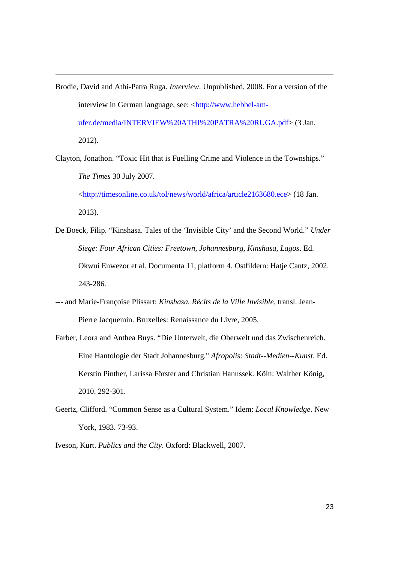- Brodie, David and Athi-Patra Ruga. *Interview*. Unpublished, 2008. For a version of the interview in German language, see: <http://www.hebbel-amufer.de/media/INTERVIEW%20ATHI%20PATRA%20RUGA.pdf> (3 Jan. 2012).
- Clayton, Jonathon. "Toxic Hit that is Fuelling Crime and Violence in the Townships." *The Times* 30 July 2007. <http://timesonline.co.uk/tol/news/world/africa/article2163680.ece> (18 Jan.

2013).

- De Boeck, Filip. "Kinshasa. Tales of the 'Invisible City' and the Second World." *Under Siege: Four African Cities: Freetown, Johannesburg, Kinshasa, Lagos*. Ed. Okwui Enwezor et al. Documenta 11, platform 4. Ostfildern: Hatje Cantz, 2002. 243-286.
- --- and Marie-Françoise Plissart: *Kinshasa. Récits de la Ville Invisible*, transl. Jean- Pierre Jacquemin. Bruxelles: Renaissance du Livre, 2005.
- Farber, Leora and Anthea Buys. "Die Unterwelt, die Oberwelt und das Zwischenreich. Eine Hantologie der Stadt Johannesburg." *Afropolis: Stadt--Medien--Kunst*. Ed. Kerstin Pinther, Larissa Förster and Christian Hanussek. Köln: Walther König, 2010. 292-301.
- Geertz, Clifford. "Common Sense as a Cultural System." Idem: *Local Knowledge*. New York, 1983. 73-93.
- Iveson, Kurt. *Publics and the City*. Oxford: Blackwell, 2007.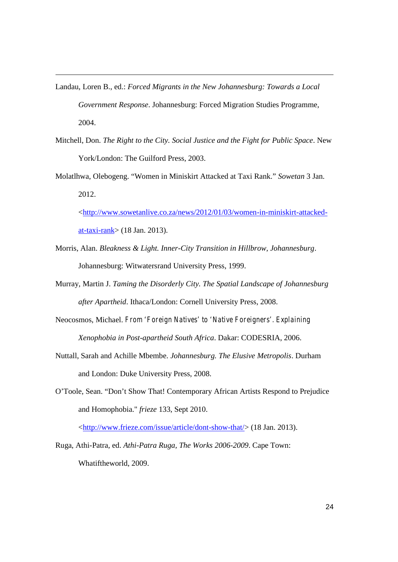- Landau, Loren B., ed.: *Forced Migrants in the New Johannesburg: Towards a Local Government Response*. Johannesburg: Forced Migration Studies Programme, 2004.
- Mitchell, Don. *The Right to the City. Social Justice and the Fight for Public Space*. New York/London: The Guilford Press, 2003.
- Molatlhwa, Olebogeng. "Women in Miniskirt Attacked at Taxi Rank." *Sowetan* 3 Jan. 2012.

<http://www.sowetanlive.co.za/news/2012/01/03/women-in-miniskirt-attacked at-taxi-rank> (18 Jan. 2013).

- Morris, Alan. *Bleakness & Light. Inner-City Transition in Hillbrow, Johannesburg*. Johannesburg: Witwatersrand University Press, 1999.
- Murray, Martin J. *Taming the Disorderly City. The Spatial Landscape of Johannesburg after Apartheid*. Ithaca/London: Cornell University Press, 2008.
- Neocosmos, Michael. *From 'Foreign Natives' to 'Native Foreigners'. Explaining Xenophobia in Post-apartheid South Africa*. Dakar: CODESRIA, 2006.
- Nuttall, Sarah and Achille Mbembe. *Johannesburg. The Elusive Metropolis*. Durham and London: Duke University Press, 2008.
- O'Toole, Sean. "Don't Show That! Contemporary African Artists Respond to Prejudice and Homophobia." *frieze* 133, Sept 2010.

<http://www.frieze.com/issue/article/dont-show-that/> (18 Jan. 2013).

Ruga, Athi-Patra, ed. *Athi-Patra Ruga, The Works 2006-2009*. Cape Town: Whatiftheworld, 2009.